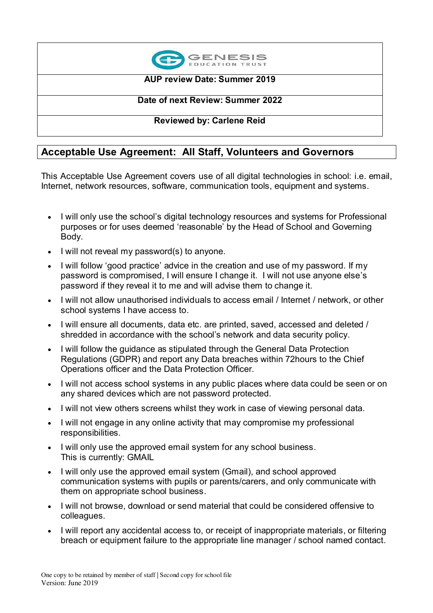

### **AUP review Date: Summer 2019**

### **Date of next Review: Summer 2022**

### **Reviewed by: Carlene Reid**

## **Acceptable Use Agreement: All Staff, Volunteers and Governors**

This Acceptable Use Agreement covers use of all digital technologies in school: i.e. email, Internet, network resources, software, communication tools, equipment and systems.

- I will only use the school's digital technology resources and systems for Professional purposes or for uses deemed 'reasonable' by the Head of School and Governing Body.
- I will not reveal my password(s) to anyone.
- I will follow 'good practice' advice in the creation and use of my password. If my password is compromised, I will ensure I change it. I will not use anyone else's password if they reveal it to me and will advise them to change it.
- I will not allow unauthorised individuals to access email / Internet / network, or other school systems I have access to.
- I will ensure all documents, data etc. are printed, saved, accessed and deleted / shredded in accordance with the school's network and data security policy.
- I will follow the guidance as stipulated through the General Data Protection Regulations (GDPR) and report any Data breaches within 72hours to the Chief Operations officer and the Data Protection Officer.
- I will not access school systems in any public places where data could be seen or on any shared devices which are not password protected.
- I will not view others screens whilst they work in case of viewing personal data.
- I will not engage in any online activity that may compromise my professional responsibilities.
- I will only use the approved email system for any school business. This is currently: GMAIL
- I will only use the approved email system (Gmail), and school approved communication systems with pupils or parents/carers, and only communicate with them on appropriate school business.
- I will not browse, download or send material that could be considered offensive to colleagues.
- I will report any accidental access to, or receipt of inappropriate materials, or filtering breach or equipment failure to the appropriate line manager / school named contact.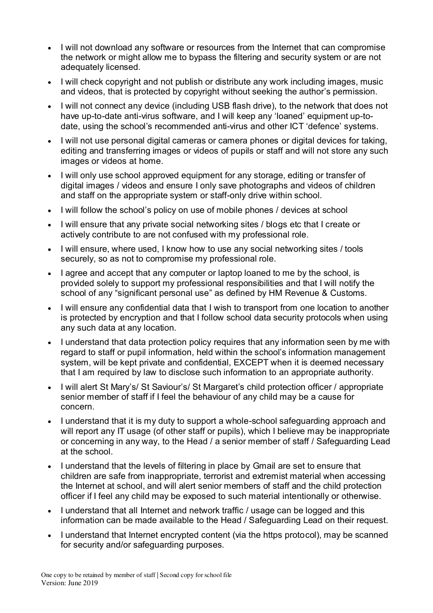- I will not download any software or resources from the Internet that can compromise the network or might allow me to bypass the filtering and security system or are not adequately licensed.
- I will check copyright and not publish or distribute any work including images, music and videos, that is protected by copyright without seeking the author's permission.
- I will not connect any device (including USB flash drive), to the network that does not have up-to-date anti-virus software, and I will keep any 'loaned' equipment up-todate, using the school's recommended anti-virus and other ICT 'defence' systems.
- I will not use personal digital cameras or camera phones or digital devices for taking, editing and transferring images or videos of pupils or staff and will not store any such images or videos at home.
- I will only use school approved equipment for any storage, editing or transfer of digital images / videos and ensure I only save photographs and videos of children and staff on the appropriate system or staff-only drive within school.
- I will follow the school's policy on use of mobile phones / devices at school
- I will ensure that any private social networking sites / blogs etc that I create or actively contribute to are not confused with my professional role.
- I will ensure, where used, I know how to use any social networking sites / tools securely, so as not to compromise my professional role.
- lagree and accept that any computer or laptop loaned to me by the school, is provided solely to support my professional responsibilities and that I will notify the school of any "significant personal use" as defined by HM Revenue & Customs.
- I will ensure any confidential data that I wish to transport from one location to another is protected by encryption and that I follow school data security protocols when using any such data at any location.
- I understand that data protection policy requires that any information seen by me with regard to staff or pupil information, held within the school's information management system, will be kept private and confidential, EXCEPT when it is deemed necessary that I am required by law to disclose such information to an appropriate authority.
- I will alert St Mary's/ St Saviour's/ St Margaret's child protection officer / appropriate senior member of staff if I feel the behaviour of any child may be a cause for concern.
- I understand that it is my duty to support a whole-school safeguarding approach and will report any IT usage (of other staff or pupils), which I believe may be inappropriate or concerning in any way, to the Head / a senior member of staff / Safeguarding Lead at the school.
- I understand that the levels of filtering in place by Gmail are set to ensure that children are safe from inappropriate, terrorist and extremist material when accessing the Internet at school, and will alert senior members of staff and the child protection officer if I feel any child may be exposed to such material intentionally or otherwise.
- I understand that all Internet and network traffic / usage can be logged and this information can be made available to the Head / Safeguarding Lead on their request.
- I understand that Internet encrypted content (via the https protocol), may be scanned for security and/or safeguarding purposes.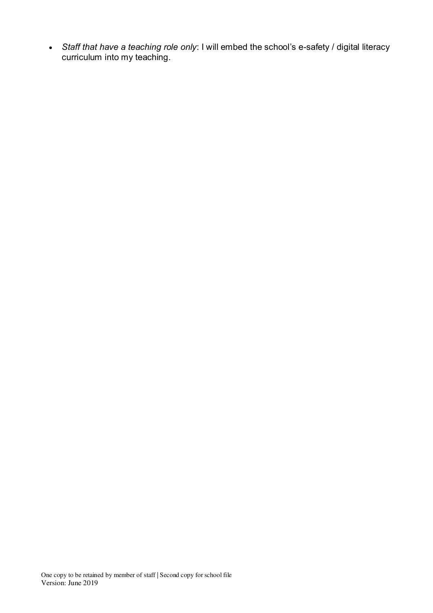*Staff that have a teaching role only*: I will embed the school's e-safety / digital literacy curriculum into my teaching.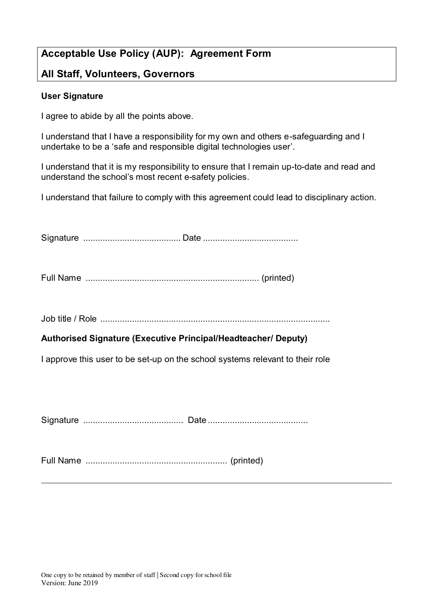# **Acceptable Use Policy (AUP): Agreement Form**

### **All Staff, Volunteers, Governors**

### **User Signature**

I agree to abide by all the points above.

I understand that I have a responsibility for my own and others e-safeguarding and I undertake to be a 'safe and responsible digital technologies user'.

I understand that it is my responsibility to ensure that I remain up-to-date and read and understand the school's most recent e-safety policies.

I understand that failure to comply with this agreement could lead to disciplinary action.

Signature ........................................ Date .......................................

Full Name ....................................................................... (printed)

Job title / Role ..............................................................................................

### **Authorised Signature (Executive Principal/Headteacher/ Deputy)**

I approve this user to be set-up on the school systems relevant to their role

Signature ......................................... Date .........................................

Full Name .......................................................... (printed)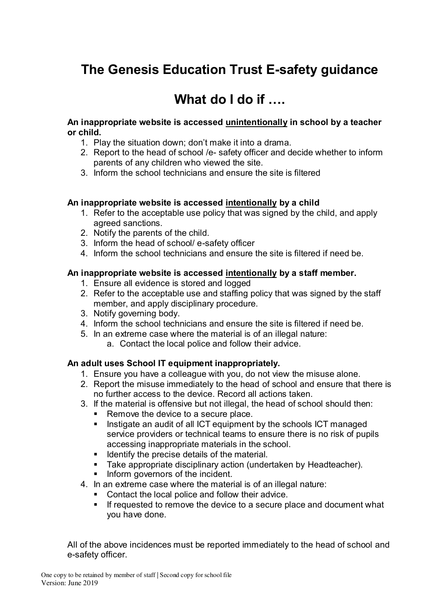# **The Genesis Education Trust E-safety guidance**

# **What do I do if ….**

### **An inappropriate website is accessed unintentionally in school by a teacher or child.**

- 1. Play the situation down; don't make it into a drama.
- 2. Report to the head of school /e- safety officer and decide whether to inform parents of any children who viewed the site.
- 3. Inform the school technicians and ensure the site is filtered

### **An inappropriate website is accessed intentionally by a child**

- 1. Refer to the acceptable use policy that was signed by the child, and apply agreed sanctions.
- 2. Notify the parents of the child.
- 3. Inform the head of school/ e-safety officer
- 4. Inform the school technicians and ensure the site is filtered if need be.

### **An inappropriate website is accessed intentionally by a staff member.**

- 1. Ensure all evidence is stored and logged
- 2. Refer to the acceptable use and staffing policy that was signed by the staff member, and apply disciplinary procedure.
- 3. Notify governing body.
- 4. Inform the school technicians and ensure the site is filtered if need be.
- 5. In an extreme case where the material is of an illegal nature:
	- a. Contact the local police and follow their advice.

### **An adult uses School IT equipment inappropriately.**

- 1. Ensure you have a colleague with you, do not view the misuse alone.
- 2. Report the misuse immediately to the head of school and ensure that there is no further access to the device. Record all actions taken.
- 3. If the material is offensive but not illegal, the head of school should then:
	- Remove the device to a secure place.
	- Instigate an audit of all ICT equipment by the schools ICT managed service providers or technical teams to ensure there is no risk of pupils accessing inappropriate materials in the school.
	- **If Identify the precise details of the material.**
	- **Take appropriate disciplinary action (undertaken by Headteacher).**
	- **Inform governors of the incident.**
- 4. In an extreme case where the material is of an illegal nature:
	- Contact the local police and follow their advice.
	- **If requested to remove the device to a secure place and document what** you have done.

All of the above incidences must be reported immediately to the head of school and e-safety officer.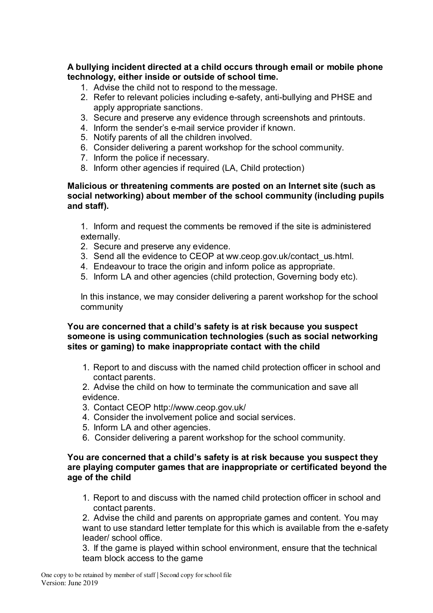**A bullying incident directed at a child occurs through email or mobile phone technology, either inside or outside of school time.**

- 1. Advise the child not to respond to the message.
- 2. Refer to relevant policies including e-safety, anti-bullying and PHSE and apply appropriate sanctions.
- 3. Secure and preserve any evidence through screenshots and printouts.
- 4. Inform the sender's e-mail service provider if known.
- 5. Notify parents of all the children involved.
- 6. Consider delivering a parent workshop for the school community.
- 7. Inform the police if necessary.
- 8. Inform other agencies if required (LA, Child protection)

### **Malicious or threatening comments are posted on an Internet site (such as social networking) about member of the school community (including pupils and staff).**

1. Inform and request the comments be removed if the site is administered externally.

- 2. Secure and preserve any evidence.
- 3. Send all the evidence to CEOP at ww.ceop.gov.uk/contact\_us.html.
- 4. Endeavour to trace the origin and inform police as appropriate.
- 5. Inform LA and other agencies (child protection, Governing body etc).

In this instance, we may consider delivering a parent workshop for the school community

### **You are concerned that a child's safety is at risk because you suspect someone is using communication technologies (such as social networking sites or gaming) to make inappropriate contact with the child**

- 1. Report to and discuss with the named child protection officer in school and contact parents.
- 2. Advise the child on how to terminate the communication and save all evidence.
- 3. Contact CEOP http://www.ceop.gov.uk/
- 4. Consider the involvement police and social services.
- 5. Inform LA and other agencies.
- 6. Consider delivering a parent workshop for the school community.

### **You are concerned that a child's safety is at risk because you suspect they are playing computer games that are inappropriate or certificated beyond the age of the child**

1. Report to and discuss with the named child protection officer in school and contact parents.

2. Advise the child and parents on appropriate games and content. You may want to use standard letter template for this which is available from the e-safety leader/ school office.

3. If the game is played within school environment, ensure that the technical team block access to the game